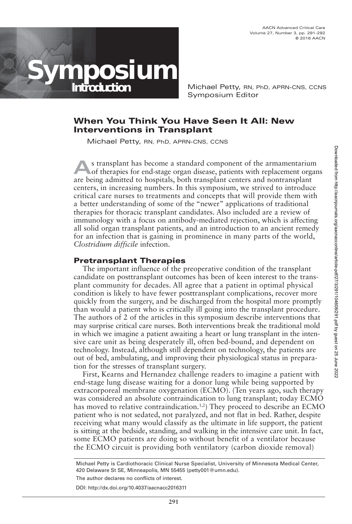AACN Advanced Critical Care Volume 27, Number 3, pp. 291-292  $@ 2016$  AACN



Michael Petty, RN, PhD, APRN-CNS, CCNS Symposium Editor

# **When You Think You Have Seen It All: New Interventions in Transplant**

Michael Petty, RN, PhD, APRN-CNS, CCNS

**A**s transplant has become a standard component of the armamentarium of therapies for end-stage organ disease, patients with replacement organs are being admitted to hospitals, both transplant centers and nontransplant centers, in increasing numbers. In this symposium, we strived to introduce critical care nurses to treatments and concepts that will provide them with a better understanding of some of the "newer" applications of traditional therapies for thoracic transplant candidates. Also included are a review of immunology with a focus on antibody-mediated rejection, which is affecting all solid organ transplant patients, and an introduction to an ancient remedy for an infection that is gaining in prominence in many parts of the world, *Clostridium difficile* infection.

#### **Pretransplant Therapies**

The important influence of the preoperative condition of the transplant candidate on posttransplant outcomes has been of keen interest to the transplant community for decades. All agree that a patient in optimal physical condition is likely to have fewer posttransplant complications, recover more quickly from the surgery, and be discharged from the hospital more promptly than would a patient who is critically ill going into the transplant procedure. The authors of 2 of the articles in this symposium describe interventions that may surprise critical care nurses. Both interventions break the traditional mold in which we imagine a patient awaiting a heart or lung transplant in the intensive care unit as being desperately ill, often bed-bound, and dependent on technology. Instead, although still dependent on technology, the patients are out of bed, ambulating, and improving their physiological status in preparation for the stresses of transplant surgery.

First, Kearns and Hernandez challenge readers to imagine a patient with end-stage lung disease waiting for a donor lung while being supported by extracorporeal membrane oxygenation (ECMO). (Ten years ago, such therapy was considered an absolute contraindication to lung transplant; today ECMO has moved to relative contraindication.<sup>1,2</sup>) They proceed to describe an ECMO patient who is not sedated, not paralyzed, and not flat in bed. Rather, despite receiving what many would classify as the ultimate in life support, the patient is sitting at the bedside, standing, and walking in the intensive care unit. In fact, some ECMO patients are doing so without benefit of a ventilator because the ECMO circuit is providing both ventilatory (carbon dioxide removal)

Michael Petty is Cardiothoracic Clinical Nurse Specialist, University of Minnesota Medical Center, 420 Delaware St SE, Minneapolis, MN 55455 (petty001@umn.edu).

The author declares no conflicts of interest.

DOI: http://dx.doi.org/10.4037/aacnacc2016311